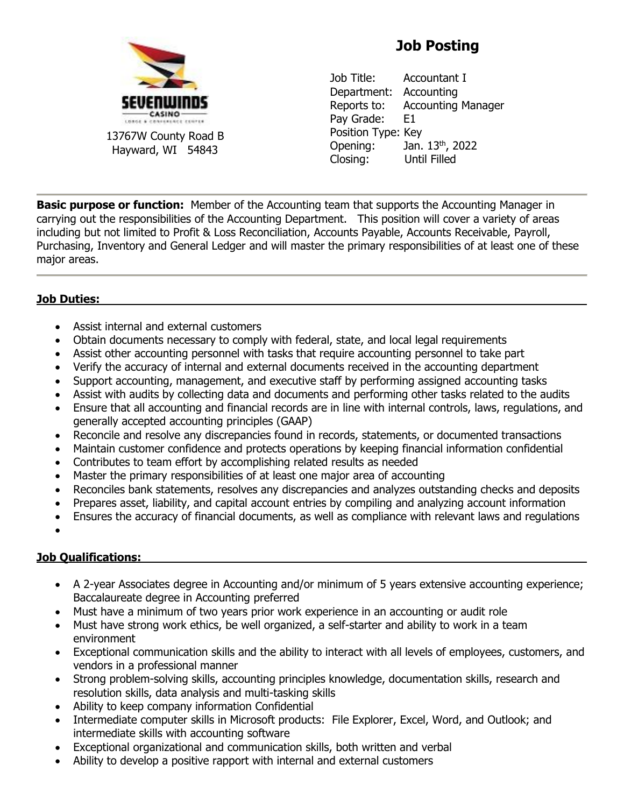

13767W County Road B Hayward, WI 54843

# **Job Posting**

Job Title: Accountant I Department: Accounting Reports to: Accounting Manager Pav Grade: E1 Position Type: Key Opening: Jan. 13th, 2022 Closing: Until Filled

**Basic purpose or function:** Member of the Accounting team that supports the Accounting Manager in carrying out the responsibilities of the Accounting Department. This position will cover a variety of areas including but not limited to Profit & Loss Reconciliation, Accounts Payable, Accounts Receivable, Payroll, Purchasing, Inventory and General Ledger and will master the primary responsibilities of at least one of these major areas.

## **Job Duties:**

- Assist internal and external customers
- Obtain documents necessary to comply with federal, state, and local legal requirements
- Assist other accounting personnel with tasks that require accounting personnel to take part
- Verify the accuracy of internal and external documents received in the accounting department
- Support accounting, management, and executive staff by performing assigned accounting tasks
- Assist with audits by collecting data and documents and performing other tasks related to the audits
- Ensure that all accounting and financial records are in line with internal controls, laws, regulations, and generally accepted accounting principles (GAAP)
- Reconcile and resolve any discrepancies found in records, statements, or documented transactions
- Maintain customer confidence and protects operations by keeping financial information confidential
- Contributes to team effort by accomplishing related results as needed
- Master the primary responsibilities of at least one major area of accounting
- Reconciles bank statements, resolves any discrepancies and analyzes outstanding checks and deposits
- Prepares asset, liability, and capital account entries by compiling and analyzing account information
- Ensures the accuracy of financial documents, as well as compliance with relevant laws and regulations
- •

### **Job Qualifications:**

- A 2-year Associates degree in Accounting and/or minimum of 5 years extensive accounting experience; Baccalaureate degree in Accounting preferred
- Must have a minimum of two years prior work experience in an accounting or audit role
- Must have strong work ethics, be well organized, a self-starter and ability to work in a team environment
- Exceptional communication skills and the ability to interact with all levels of employees, customers, and vendors in a professional manner
- Strong problem-solving skills, accounting principles knowledge, documentation skills, research and resolution skills, data analysis and multi-tasking skills
- Ability to keep company information Confidential
- Intermediate computer skills in Microsoft products: File Explorer, Excel, Word, and Outlook; and intermediate skills with accounting software
- Exceptional organizational and communication skills, both written and verbal
- Ability to develop a positive rapport with internal and external customers